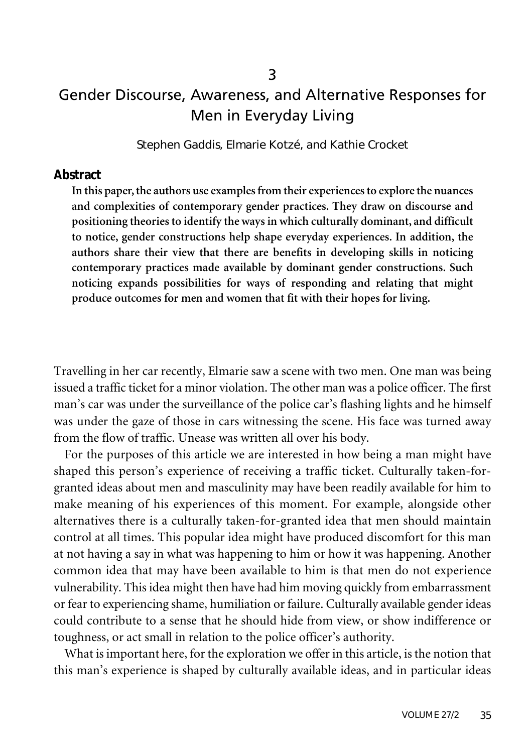# Gender Discourse, Awareness, and Alternative Responses for Men in Everyday Living

Stephen Gaddis, Elmarie Kotzé, and Kathie Crocket

#### **Abstract**

In this paper, the authors use examples from their experiences to explore the nuances **and complexities of contemporary gender practices. They draw on discourse and positioning theories to identify the ways in which culturally dominant, and difficult to notice, gender constructions help shape everyday experiences. In addition, the authors share their view that there are benefits in developing skills in noticing contemporary practices made available by dominant gender constructions. Such noticing expands possibilities for ways of responding and relating that might produce outcomes for men and women that fit with their hopes for living.**

Travelling in her car recently, Elmarie saw a scene with two men. One man was being issued a traffic ticket for a minor violation. The other man was a police officer. The first man's car was under the surveillance of the police car's flashing lights and he himself was under the gaze of those in cars witnessing the scene. His face was turned away from the flow of traffic. Unease was written all over his body.

For the purposes of this article we are interested in how being a man might have shaped this person's experience of receiving a traffic ticket. Culturally taken-forgranted ideas about men and masculinity may have been readily available for him to make meaning of his experiences of this moment. For example, alongside other alternatives there is a culturally taken-for-granted idea that men should maintain control at all times. This popular idea might have produced discomfort for this man at not having a say in what was happening to him or how it was happening. Another common idea that may have been available to him is that men do not experience vulnerability. This idea might then have had him moving quickly from embarrassment or fear to experiencing shame, humiliation or failure. Culturally available gender ideas could contribute to a sense that he should hide from view, or show indifference or toughness, or act small in relation to the police officer's authority.

What is important here, for the exploration we offer in this article, is the notion that this man's experience is shaped by culturally available ideas, and in particular ideas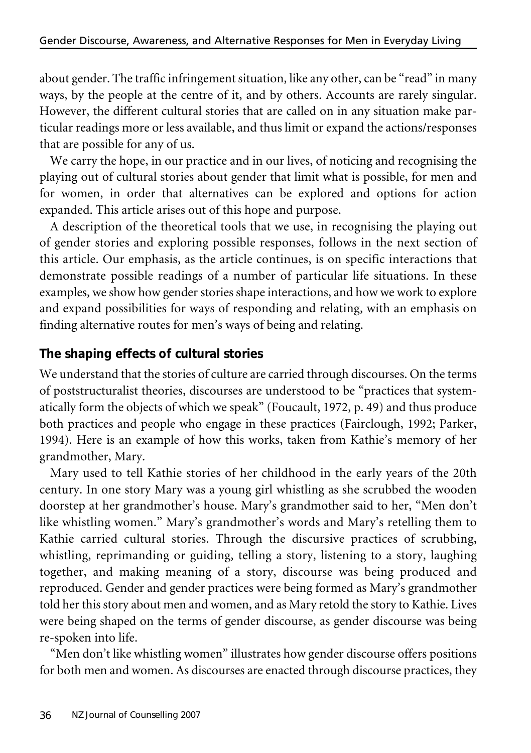about gender. The traffic infringement situation, like any other, can be "read" in many ways, by the people at the centre of it, and by others. Accounts are rarely singular. However, the different cultural stories that are called on in any situation make particular readings more or less available, and thus limit or expand the actions/responses that are possible for any of us.

We carry the hope, in our practice and in our lives, of noticing and recognising the playing out of cultural stories about gender that limit what is possible, for men and for women, in order that alternatives can be explored and options for action expanded. This article arises out of this hope and purpose.

A description of the theoretical tools that we use, in recognising the playing out of gender stories and exploring possible responses, follows in the next section of this article. Our emphasis, as the article continues, is on specific interactions that demonstrate possible readings of a number of particular life situations. In these examples, we show how gender stories shape interactions, and how we work to explore and expand possibilities for ways of responding and relating, with an emphasis on finding alternative routes for men's ways of being and relating.

### **The shaping effects of cultural stories**

We understand that the stories of culture are carried through discourses. On the terms of poststructuralist theories, discourses are understood to be "practices that systematically form the objects of which we speak" (Foucault, 1972, p. 49) and thus produce both practices and people who engage in these practices (Fairclough, 1992; Parker, 1994). Here is an example of how this works, taken from Kathie's memory of her grandmother, Mary.

Mary used to tell Kathie stories of her childhood in the early years of the 20th century. In one story Mary was a young girl whistling as she scrubbed the wooden doorstep at her grandmother's house. Mary's grandmother said to her, "Men don't like whistling women." Mary's grandmother's words and Mary's retelling them to Kathie carried cultural stories. Through the discursive practices of scrubbing, whistling, reprimanding or guiding, telling a story, listening to a story, laughing together, and making meaning of a story, discourse was being produced and reproduced. Gender and gender practices were being formed as Mary's grandmother told her this story about men and women, and as Mary retold the story to Kathie. Lives were being shaped on the terms of gender discourse, as gender discourse was being re-spoken into life.

"Men don't like whistling women" illustrates how gender discourse offers positions for both men and women. As discourses are enacted through discourse practices, they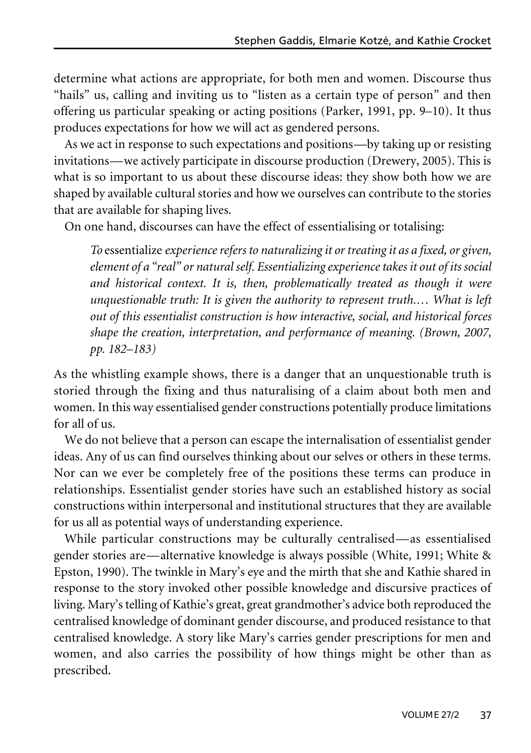determine what actions are appropriate, for both men and women. Discourse thus "hails" us, calling and inviting us to "listen as a certain type of person" and then offering us particular speaking or acting positions (Parker, 1991, pp. 9–10). It thus produces expectations for how we will act as gendered persons.

As we act in response to such expectations and positions—by taking up or resisting invitations—we actively participate in discourse production (Drewery, 2005). This is what is so important to us about these discourse ideas: they show both how we are shaped by available cultural stories and how we ourselves can contribute to the stories that are available for shaping lives.

On one hand, discourses can have the effect of essentialising or totalising:

*To* essentialize *experiencerefers to naturalizing it or treating it as a fixed, or given, element of a "real" or natural self. Essentializing experiencetakes it out of its social and historical context. It is, then, problematically treated as though it were unquestionable truth: It is given the authority to represent truth.… What is left out of this essentialist construction is how interactive, social, and historical forces shape the creation, interpretation, and performance of meaning. (Brown, 2007, pp. 182–183)*

As the whistling example shows, there is a danger that an unquestionable truth is storied through the fixing and thus naturalising of a claim about both men and women. In this way essentialised gender constructions potentially produce limitations for all of us.

We do not believe that a person can escape the internalisation of essentialist gender ideas. Any of us can find ourselves thinking about our selves or others in these terms. Nor can we ever be completely free of the positions these terms can produce in relationships. Essentialist gender stories have such an established history as social constructions within interpersonal and institutional structures that they are available for us all as potential ways of understanding experience.

While particular constructions may be culturally centralised—as essentialised gender stories are—alternative knowledge is always possible (White, 1991; White & Epston, 1990). The twinkle in Mary's eye and the mirth that she and Kathie shared in response to the story invoked other possible knowledge and discursive practices of living. Mary's telling of Kathie's great, great grandmother's advice both reproduced the centralised knowledge of dominant gender discourse, and produced resistance to that centralised knowledge. A story like Mary's carries gender prescriptions for men and women, and also carries the possibility of how things might be other than as prescribed.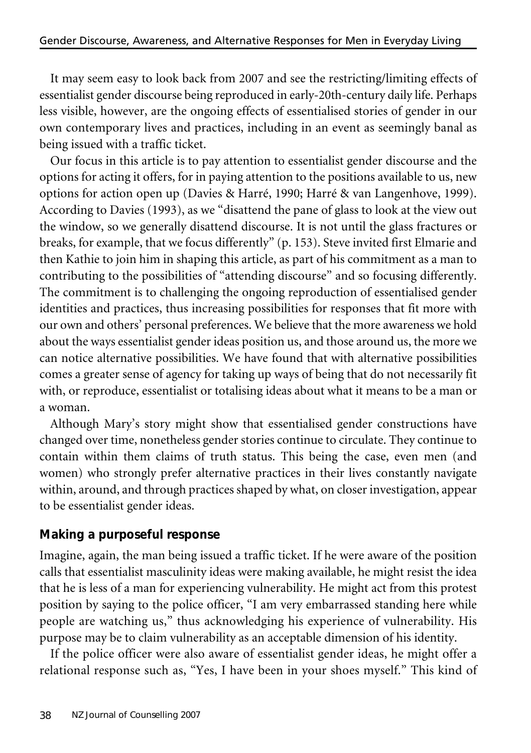It may seem easy to look back from 2007 and see the restricting/limiting effects of essentialist gender discourse being reproduced in early-20th-century daily life. Perhaps less visible, however, are the ongoing effects of essentialised stories of gender in our own contemporary lives and practices, including in an event as seemingly banal as being issued with a traffic ticket.

Our focus in this article is to pay attention to essentialist gender discourse and the options for acting it offers, for in paying attention to the positions available to us, new options for action open up (Davies & Harré, 1990; Harré & van Langenhove, 1999). According to Davies (1993), as we "disattend the pane of glass to look at the view out the window, so we generally disattend discourse. It is not until the glass fractures or breaks, for example, that we focus differently" (p. 153). Steve invited first Elmarie and then Kathie to join him in shaping this article, as part of his commitment as a man to contributing to the possibilities of "attending discourse" and so focusing differently. The commitment is to challenging the ongoing reproduction of essentialised gender identities and practices, thus increasing possibilities for responses that fit more with our own and others' personal preferences. We believe that the more awareness we hold about the ways essentialist gender ideas position us, and those around us, the more we can notice alternative possibilities. We have found that with alternative possibilities comes a greater sense of agency for taking up ways of being that do not necessarily fit with, or reproduce, essentialist or totalising ideas about what it means to be a man or a woman.

Although Mary's story might show that essentialised gender constructions have changed over time, nonetheless gender stories continue to circulate. They continue to contain within them claims of truth status. This being the case, even men (and women) who strongly prefer alternative practices in their lives constantly navigate within, around, and through practices shaped by what, on closerinvestigation, appear to be essentialist gender ideas.

## **Making a purposeful response**

Imagine, again, the man being issued a traffic ticket. If he were aware of the position calls that essentialist masculinity ideas were making available, he might resist the idea that he is less of a man for experiencing vulnerability. He might act from this protest position by saying to the police officer, "I am very embarrassed standing here while people are watching us," thus acknowledging his experience of vulnerability. His purpose may be to claim vulnerability as an acceptable dimension of his identity.

If the police officer were also aware of essentialist gender ideas, he might offer a relational response such as, "Yes, I have been in your shoes myself." This kind of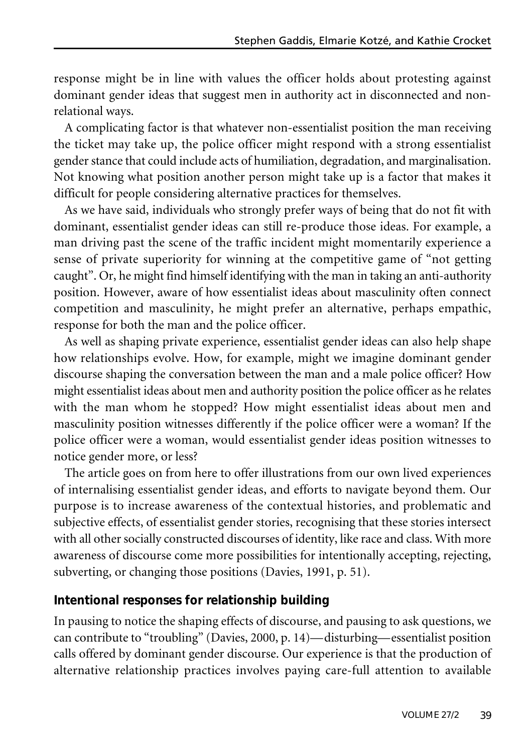response might be in line with values the officer holds about protesting against dominant gender ideas that suggest men in authority act in disconnected and nonrelational ways.

A complicating factor is that whatever non-essentialist position the man receiving the ticket may take up, the police officer might respond with a strong essentialist gender stance that could include acts of humiliation, degradation, and marginalisation. Not knowing what position another person might take up is a factor that makes it difficult for people considering alternative practices for themselves.

As we have said, individuals who strongly prefer ways of being that do not fit with dominant, essentialist gender ideas can still re-produce those ideas. For example, a man driving past the scene of the traffic incident might momentarily experience a sense of private superiority for winning at the competitive game of "not getting caught". Or, he might find himself identifying with the man in taking an anti-authority position. However, aware of how essentialist ideas about masculinity often connect competition and masculinity, he might prefer an alternative, perhaps empathic, response for both the man and the police officer.

As well as shaping private experience, essentialist gender ideas can also help shape how relationships evolve. How, for example, might we imagine dominant gender discourse shaping the conversation between the man and a male police officer? How might essentialist ideas about men and authority position the police officer as he relates with the man whom he stopped? How might essentialist ideas about men and masculinity position witnesses differently if the police officer were a woman? If the police officer were a woman, would essentialist gender ideas position witnesses to notice gender more, or less?

The article goes on from here to offer illustrations from our own lived experiences of internalising essentialist gender ideas, and efforts to navigate beyond them. Our purpose is to increase awareness of the contextual histories, and problematic and subjective effects, of essentialist gender stories, recognising that these stories intersect with all other socially constructed discourses of identity, like race and class. With more awareness of discourse come more possibilities for intentionally accepting, rejecting, subverting, or changing those positions (Davies, 1991, p. 51).

#### **Intentional responses for relationship building**

In pausing to notice the shaping effects of discourse, and pausing to ask questions, we can contribute to "troubling" (Davies, 2000, p. 14)—disturbing—essentialist position calls offered by dominant gender discourse. Our experience is that the production of alternative relationship practices involves paying care-full attention to available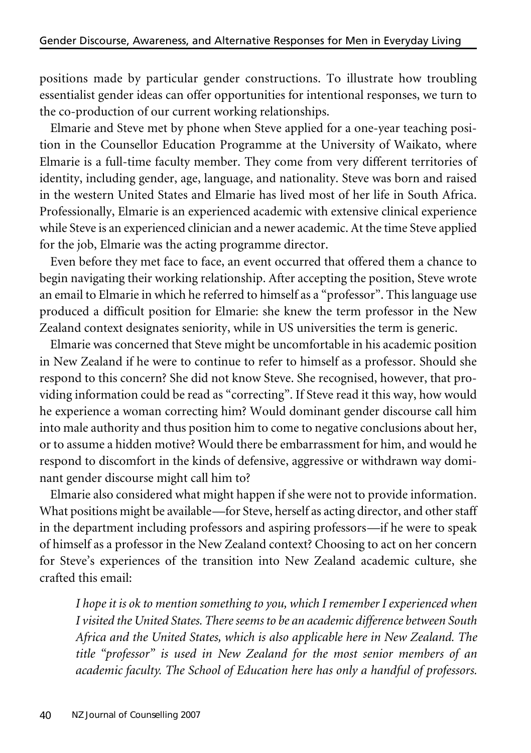positions made by particular gender constructions. To illustrate how troubling essentialist gender ideas can offer opportunities for intentional responses, we turn to the co-production of our current working relationships.

Elmarie and Steve met by phone when Steve applied for a one-year teaching position in the Counsellor Education Programme at the University of Waikato, where Elmarie is a full-time faculty member. They come from very different territories of identity, including gender, age, language, and nationality. Steve was born and raised in the western United States and Elmarie has lived most of her life in South Africa. Professionally, Elmarie is an experienced academic with extensive clinical experience while Steve is an experienced clinician and a newer academic. At the time Steve applied for the job, Elmarie was the acting programme director.

Even before they met face to face, an event occurred that offered them a chance to begin navigating their working relationship. After accepting the position, Steve wrote an email to Elmarie in which he referred to himself as a "professor". This language use produced a difficult position for Elmarie: she knew the term professor in the New Zealand context designates seniority, while in US universities the term is generic.

Elmarie was concerned that Steve might be uncomfortable in his academic position in New Zealand if he were to continue to refer to himself as a professor. Should she respond to this concern? She did not know Steve. She recognised, however, that providing information could be read as "correcting". If Steve read it this way, how would he experience a woman correcting him? Would dominant gender discourse call him into male authority and thus position him to come to negative conclusions about her, or to assume a hidden motive? Would there be embarrassment for him, and would he respond to discomfort in the kinds of defensive, aggressive or withdrawn way dominant gender discourse might call him to?

Elmarie also considered what might happen if she were not to provide information. What positions might be available—for Steve, herself as acting director, and other staff in the department including professors and aspiring professors—if he were to speak of himself as a professor in the New Zealand context? Choosing to act on her concern for Steve's experiences of the transition into New Zealand academic culture, she crafted this email:

*I hope it is ok to mention something to you, which I remember I experienced when I visited the United States. Thereseems to be an academic difference between South Africa and the United States, which is also applicable here in New Zealand. The title "professor" is used in New Zealand for the most senior members of an academic faculty. The School of Education here has only a handful of professors.*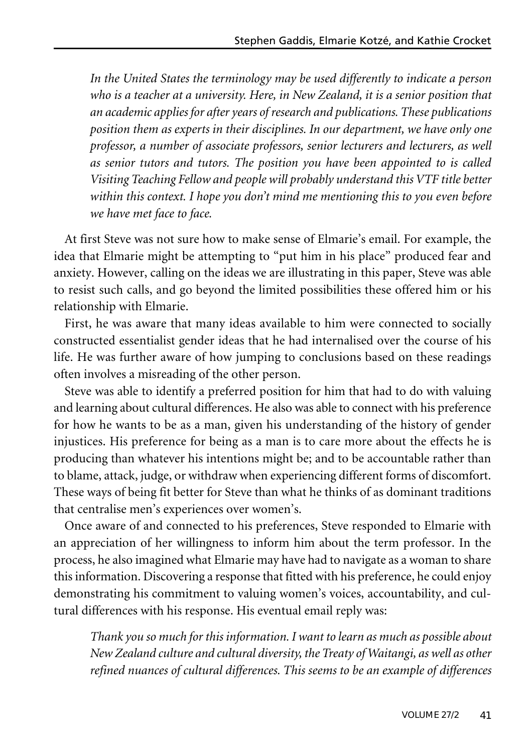*In the United States the terminology may be used differently to indicate a person who is a teacher at a university. Here, in New Zealand, it is a senior position that an academic applies for after years of research and publications. These publications position them as experts in their disciplines. In our department, we have only one professor, a number of associate professors, senior lecturers and lecturers, as well as senior tutors and tutors. The position you have been appointed to is called Visiting Teaching Fellow and people will probably understand thisVTF title better within this context. I hope you don't mind me mentioning this to you even before we have met face to face.*

At first Steve was not sure how to make sense of Elmarie's email. For example, the idea that Elmarie might be attempting to "put him in his place" produced fear and anxiety. However, calling on the ideas we are illustrating in this paper, Steve was able to resist such calls, and go beyond the limited possibilities these offered him or his relationship with Elmarie.

First, he was aware that many ideas available to him were connected to socially constructed essentialist gender ideas that he had internalised over the course of his life. He was further aware of how jumping to conclusions based on these readings often involves a misreading of the other person.

Steve was able to identify a preferred position for him that had to do with valuing and learning about cultural differences. He also was able to connect with his preference for how he wants to be as a man, given his understanding of the history of gender injustices. His preference for being as a man is to care more about the effects he is producing than whatever his intentions might be; and to be accountable rather than to blame, attack, judge, or withdraw when experiencing different forms of discomfort. These ways of being fit better for Steve than what he thinks of as dominant traditions that centralise men's experiences over women's.

Once aware of and connected to his preferences, Steve responded to Elmarie with an appreciation of her willingness to inform him about the term professor. In the process, he also imagined what Elmarie may have had to navigate as a woman to share this information. Discovering a response that fitted with his preference, he could enjoy demonstrating his commitment to valuing women's voices, accountability, and cultural differences with his response. His eventual email reply was:

*Thank you so much for this information. I want to learn as much as possible about New Zealand culture and cultural diversity, the Treaty of Waitangi, as well as other refined nuances of cultural differences. This seems to be an example of differences*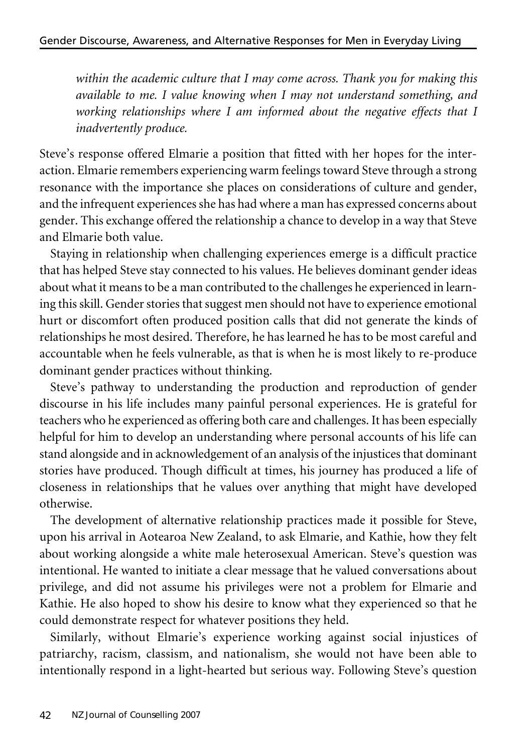*within the academic culture that I may come across. Thank you for making this available to me. I value knowing when I may not understand something, and working relationships where I am informed about the negative effects that I inadvertently produce.*

Steve's response offered Elmarie a position that fitted with her hopes for the interaction. Elmarie remembers experiencing warm feelings toward Steve through a strong resonance with the importance she places on considerations of culture and gender, and the infrequent experiences she has had where a man has expressed concerns about gender. This exchange offered the relationship a chance to develop in a way that Steve and Elmarie both value.

Staying in relationship when challenging experiences emerge is a difficult practice that has helped Steve stay connected to his values. He believes dominant gender ideas about what it means to be a man contributed to the challenges he experienced in learning this skill. Gender stories that suggest men should not have to experience emotional hurt or discomfort often produced position calls that did not generate the kinds of relationships he most desired. Therefore, he has learned he has to be most careful and accountable when he feels vulnerable, as that is when he is most likely to re-produce dominant gender practices without thinking.

Steve's pathway to understanding the production and reproduction of gender discourse in his life includes many painful personal experiences. He is grateful for teachers who he experienced as offering both care and challenges. It has been especially helpful for him to develop an understanding where personal accounts of his life can stand alongside and in acknowledgement of an analysis of the injustices that dominant stories have produced. Though difficult at times, his journey has produced a life of closeness in relationships that he values over anything that might have developed otherwise.

The development of alternative relationship practices made it possible for Steve, upon his arrival in Aotearoa New Zealand, to ask Elmarie, and Kathie, how they felt about working alongside a white male heterosexual American. Steve's question was intentional. He wanted to initiate a clear message that he valued conversations about privilege, and did not assume his privileges were not a problem for Elmarie and Kathie. He also hoped to show his desire to know what they experienced so that he could demonstrate respect for whatever positions they held.

Similarly, without Elmarie's experience working against social injustices of patriarchy, racism, classism, and nationalism, she would not have been able to intentionally respond in a light-hearted but serious way. Following Steve's question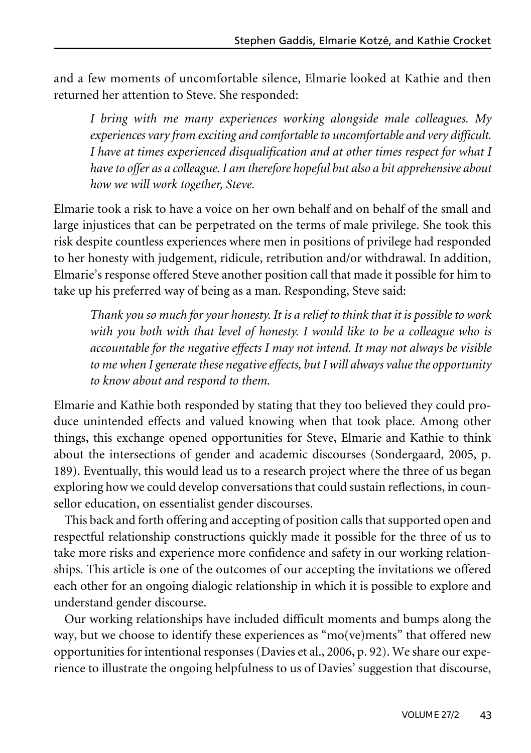and a few moments of uncomfortable silence, Elmarie looked at Kathie and then returned her attention to Steve. She responded:

*I bring with me many experiences working alongside male colleagues. My experiences vary from exciting and comfortableto uncomfortable and very difficult. I have at times experienced disqualification and at other times respect for what I haveto offer as a colleague. I am therefore hopeful but also a bit apprehensive about how we will work together, Steve.*

Elmarie took a risk to have a voice on her own behalf and on behalf of the small and large injustices that can be perpetrated on the terms of male privilege. She took this risk despite countless experiences where men in positions of privilege had responded to her honesty with judgement, ridicule, retribution and/or withdrawal. In addition, Elmarie's response offered Steve another position call that made it possible for him to take up his preferred way of being as a man. Responding, Steve said:

*Thank you so much for your honesty. It is a relief to think that it is possibleto work with you both with that level of honesty. I would like to be a colleague who is accountable for the negative effects I may not intend. It may not always be visible to me* when I generate these negative effects, but I will always value the opportunity *to know about and respond to them.*

Elmarie and Kathie both responded by stating that they too believed they could produce unintended effects and valued knowing when that took place. Among other things, this exchange opened opportunities for Steve, Elmarie and Kathie to think about the intersections of gender and academic discourses (Sondergaard, 2005, p. 189). Eventually, this would lead us to a research project where the three of us began exploring how we could develop conversations that could sustain reflections, in counsellor education, on essentialist gender discourses.

This back and forth offering and accepting of position calls that supported open and respectful relationship constructions quickly made it possible for the three of us to take more risks and experience more confidence and safety in our working relationships. This article is one of the outcomes of our accepting the invitations we offered each other for an ongoing dialogic relationship in which it is possible to explore and understand gender discourse.

Our working relationships have included difficult moments and bumps along the way, but we choose to identify these experiences as "mo(ve)ments" that offered new opportunities for intentional responses (Davies et al., 2006, p. 92). We share our experience to illustrate the ongoing helpfulness to us of Davies' suggestion that discourse,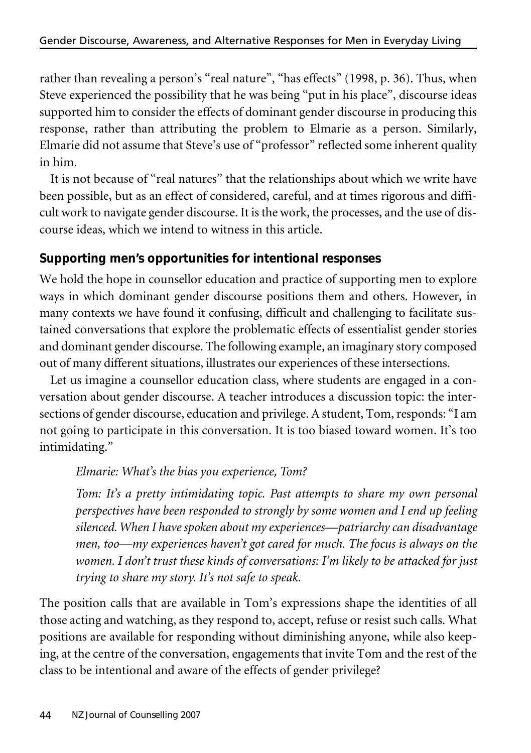rather than revealing a person's "real nature", "has effects" (1998, p. 36). Thus, when Steve experienced the possibility that he was being "put in his place", discourse ideas supported him to consider the effects of dominant gender discourse in producing this response, rather than attributing the problem to Elmarie as a person. Similarly, Elmarie did not assume that Steve's use of "professor" reflected some inherent quality in him.

It is not because of "real natures" that the relationships about which we write have been possible, but as an effect of considered, careful, and at times rigorous and difficult work to navigate gender discourse. It is the work, the processes, and the use of discourse ideas, which we intend to witness in this article.

## **Supporting men's opportunities for intentional responses**

We hold the hope in counsellor education and practice of supporting men to explore ways in which dominant gender discourse positions them and others. However, in many contexts we have found it confusing, difficult and challenging to facilitate sustained conversations that explore the problematic effects of essentialist gender stories and dominant gender discourse. The following example, an imaginary story composed out of many different situations, illustrates our experiences of these intersections.

Let us imagine a counsellor education class, where students are engaged in a conversation about gender discourse. A teacher introduces a discussion topic: the intersections of gender discourse, education and privilege. A student, Tom,responds: "I am not going to participate in this conversation. It is too biased toward women. It's too intimidating."

## *Elmarie: What's the bias you experience, Tom?*

*Tom: It's a pretty intimidating topic. Past attempts to share my own personal perspectives have been responded to strongly by some women and I end up feeling silenced.When I havespoken about my experiences—patriarchy can disadvantage men, too—my experiences haven't got cared for much. The focus is always on the women. I don't trust these kinds of conversations: I'm likely to be attacked for just trying to share my story. It's not safe to speak.*

The position calls that are available in Tom's expressions shape the identities of all those acting and watching, as they respond to, accept, refuse or resist such calls. What positions are available for responding without diminishing anyone, while also keeping, at the centre of the conversation, engagements that invite Tom and the rest of the class to be intentional and aware of the effects of gender privilege?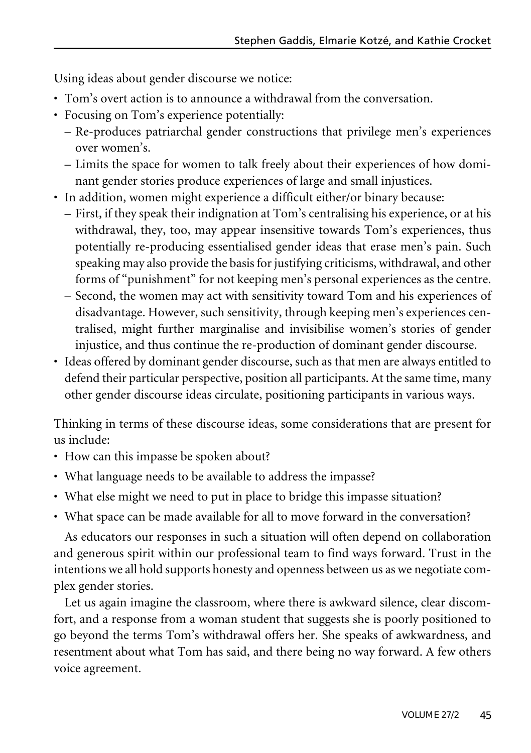Using ideas about gender discourse we notice:

- Tom's overt action is to announce a withdrawal from the conversation.
- Focusing on Tom's experience potentially:
	- Re-produces patriarchal gender constructions that privilege men's experiences over women's.
	- Limits the space for women to talk freely about their experiences of how dominant gender stories produce experiences of large and small injustices.
- In addition, women might experience a difficult either/or binary because:
	- First, if they speak their indignation at Tom's centralising his experience, or at his withdrawal, they, too, may appear insensitive towards Tom's experiences, thus potentially re-producing essentialised gender ideas that erase men's pain. Such speaking may also provide the basis for justifying criticisms, withdrawal, and other forms of "punishment" for not keeping men's personal experiences as the centre.
	- Second, the women may act with sensitivity toward Tom and his experiences of disadvantage. However, such sensitivity, through keeping men's experiences centralised, might further marginalise and invisibilise women's stories of gender injustice, and thus continue the re-production of dominant gender discourse.
- Ideas offered by dominant gender discourse, such as that men are always entitled to defend their particular perspective, position all participants. At the same time, many other gender discourse ideas circulate, positioning participants in various ways.

Thinking in terms of these discourse ideas, some considerations that are present for us include:

- How can this impasse be spoken about?
- What language needs to be available to address the impasse?
- What else might we need to put in place to bridge this impasse situation?
- What space can be made available for all to move forward in the conversation?

As educators our responses in such a situation will often depend on collaboration and generous spirit within our professional team to find ways forward. Trust in the intentions we all hold supports honesty and openness between us as we negotiate complex gender stories.

Let us again imagine the classroom, where there is awkward silence, clear discomfort, and a response from a woman student that suggests she is poorly positioned to go beyond the terms Tom's withdrawal offers her. She speaks of awkwardness, and resentment about what Tom has said, and there being no way forward. A few others voice agreement.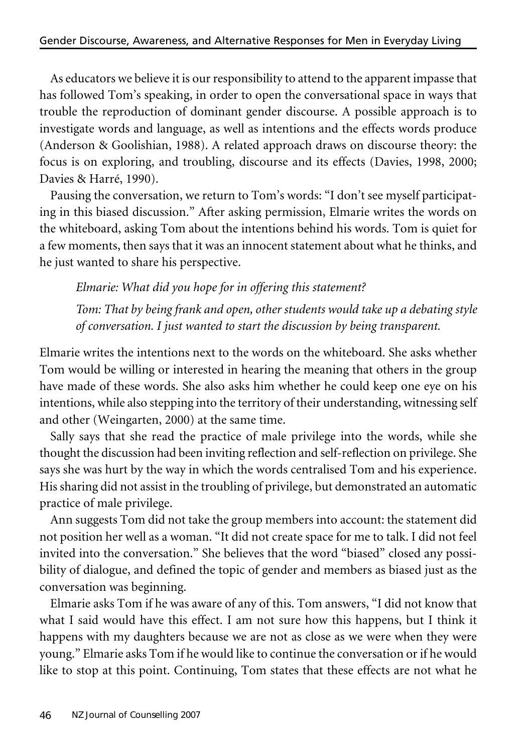As educators we believe it is our responsibility to attend to the apparent impasse that has followed Tom's speaking, in order to open the conversational space in ways that trouble the reproduction of dominant gender discourse. A possible approach is to investigate words and language, as well as intentions and the effects words produce (Anderson & Goolishian, 1988). A related approach draws on discourse theory: the focus is on exploring, and troubling, discourse and its effects (Davies, 1998, 2000; Davies & Harré, 1990).

Pausing the conversation, we return to Tom's words: "I don't see myself participating in this biased discussion." After asking permission, Elmarie writes the words on the whiteboard, asking Tom about the intentions behind his words. Tom is quiet for a few moments, then says that it was an innocent statement about what he thinks, and he just wanted to share his perspective.

*Elmarie: What did you hope for in offering this statement?*

*Tom: That by being frank and open, other students would take up a debating style of conversation. I just wanted to start the discussion by being transparent.*

Elmarie writes the intentions next to the words on the whiteboard. She asks whether Tom would be willing or interested in hearing the meaning that others in the group have made of these words. She also asks him whether he could keep one eye on his intentions, while also stepping into the territory of their understanding, witnessing self and other (Weingarten, 2000) at the same time.

Sally says that she read the practice of male privilege into the words, while she thought the discussion had been inviting reflection and self-reflection on privilege. She says she was hurt by the way in which the words centralised Tom and his experience. His sharing did not assist in the troubling of privilege, but demonstrated an automatic practice of male privilege.

Ann suggests Tom did not take the group members into account: the statement did not position her well as a woman. "It did not create space for me to talk. I did not feel invited into the conversation." She believes that the word "biased" closed any possibility of dialogue, and defined the topic of gender and members as biased just as the conversation was beginning.

Elmarie asks Tom if he was aware of any of this. Tom answers, "I did not know that what I said would have this effect. I am not sure how this happens, but I think it happens with my daughters because we are not as close as we were when they were young." Elmarie asks Tom if he would like to continue the conversation or if he would like to stop at this point. Continuing, Tom states that these effects are not what he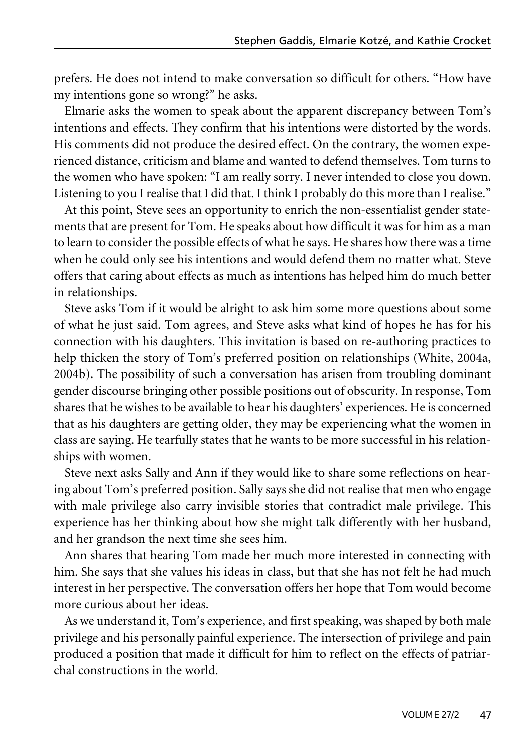prefers. He does not intend to make conversation so difficult for others. "How have my intentions gone so wrong?" he asks.

Elmarie asks the women to speak about the apparent discrepancy between Tom's intentions and effects. They confirm that his intentions were distorted by the words. His comments did not produce the desired effect. On the contrary, the women experienced distance, criticism and blame and wanted to defend themselves. Tom turns to the women who have spoken: "I am really sorry. I never intended to close you down. Listening to you I realise that I did that. I think I probably do this more than I realise."

At this point, Steve sees an opportunity to enrich the non-essentialist gender statements that are present for Tom. He speaks about how difficult it was for him as a man to learn to consider the possible effects of what he says. He shares how there was a time when he could only see his intentions and would defend them no matter what. Steve offers that caring about effects as much as intentions has helped him do much better in relationships.

Steve asks Tom if it would be alright to ask him some more questions about some of what he just said. Tom agrees, and Steve asks what kind of hopes he has for his connection with his daughters. This invitation is based on re-authoring practices to help thicken the story of Tom's preferred position on relationships (White, 2004a, 2004b). The possibility of such a conversation has arisen from troubling dominant gender discourse bringing other possible positions out of obscurity. In response, Tom shares that he wishes to be available to hear his daughters' experiences. He is concerned that as his daughters are getting older, they may be experiencing what the women in class are saying. He tearfully states that he wants to be more successful in his relationships with women.

Steve next asks Sally and Ann if they would like to share some reflections on hearing about Tom's preferred position. Sally says she did not realise that men who engage with male privilege also carry invisible stories that contradict male privilege. This experience has her thinking about how she might talk differently with her husband, and her grandson the next time she sees him.

Ann shares that hearing Tom made her much more interested in connecting with him. She says that she values his ideas in class, but that she has not felt he had much interest in her perspective. The conversation offers her hope that Tom would become more curious about her ideas.

As we understand it, Tom's experience, and first speaking, was shaped by both male privilege and his personally painful experience. The intersection of privilege and pain produced a position that made it difficult for him to reflect on the effects of patriarchal constructions in the world.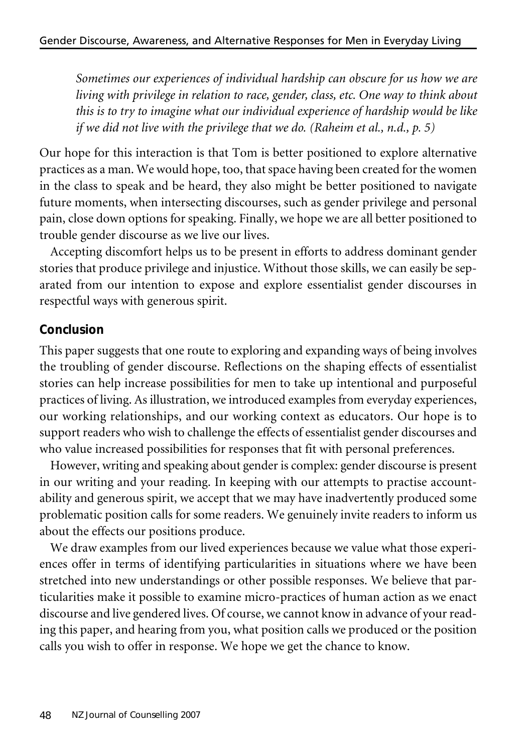*Sometimes our experiences of individual hardship can obscure for us how we are living with privilege in relation to race, gender, class, etc. One way to think about this is to try to imagine what our individual experience of hardship would be like if we did not live with the privilege that we do. (Raheim et al., n.d., p. 5)*

Our hope for this interaction is that Tom is better positioned to explore alternative practices as a man. We would hope, too, that space having been created for the women in the class to speak and be heard, they also might be better positioned to navigate future moments, when intersecting discourses, such as gender privilege and personal pain, close down options for speaking. Finally, we hope we are all better positioned to trouble gender discourse as we live our lives.

Accepting discomfort helps us to be present in efforts to address dominant gender stories that produce privilege and injustice. Without those skills, we can easily be separated from our intention to expose and explore essentialist gender discourses in respectful ways with generous spirit.

### **Conclusion**

This paper suggests that one route to exploring and expanding ways of being involves the troubling of gender discourse. Reflections on the shaping effects of essentialist stories can help increase possibilities for men to take up intentional and purposeful practices of living. As illustration, we introduced examples from everyday experiences, our working relationships, and our working context as educators. Our hope is to support readers who wish to challenge the effects of essentialist gender discourses and who value increased possibilities for responses that fit with personal preferences.

However, writing and speaking about gender is complex: gender discourse is present in our writing and your reading. In keeping with our attempts to practise accountability and generous spirit, we accept that we may have inadvertently produced some problematic position calls for some readers. We genuinely invite readers to inform us about the effects our positions produce.

We draw examples from our lived experiences because we value what those experiences offer in terms of identifying particularities in situations where we have been stretched into new understandings or other possible responses. We believe that particularities make it possible to examine micro-practices of human action as we enact discourse and live gendered lives. Of course, we cannot know in advance of your reading this paper, and hearing from you, what position calls we produced or the position calls you wish to offer in response. We hope we get the chance to know.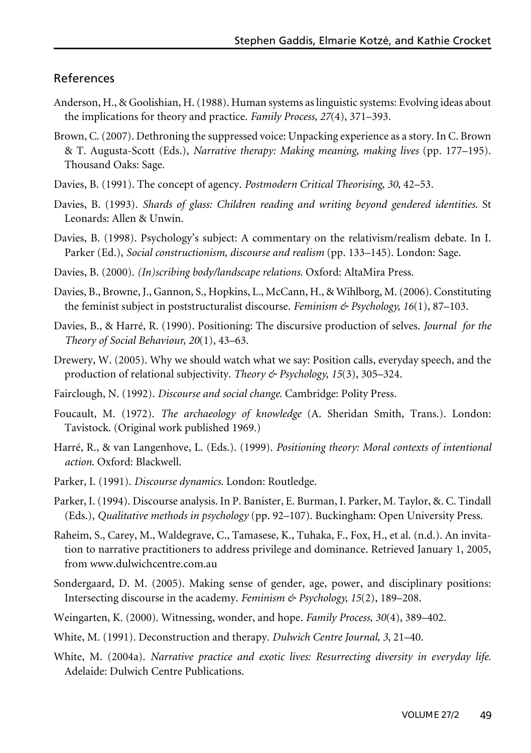#### References

- Anderson, H., & Goolishian, H.(1988). Human systems as linguistic systems: Evolving ideas about the implications for theory and practice. *Family Process, 27*(4), 371–393.
- Brown, C.(2007). Dethroning the suppressed voice: Unpacking experience as a story. In C. Brown & T. Augusta-Scott (Eds.), *Narrative therapy: Making meaning, making lives* (pp. 177–195). Thousand Oaks: Sage.
- Davies, B. (1991). The concept of agency. *Postmodern Critical Theorising, 30*, 42–53.
- Davies, B. (1993). *Shards of glass: Children reading and writing beyond gendered identities*. St Leonards: Allen & Unwin.
- Davies, B. (1998). Psychology's subject: A commentary on the relativism/realism debate. In I. Parker (Ed.), *Social constructionism, discourse and realism* (pp. 133–145). London: Sage.
- Davies, B. (2000). *(In)scribing body/landscape relations*. Oxford: AltaMira Press.
- Davies, B., Browne, J., Gannon, S., Hopkins, L., McCann, H., & Wihlborg, M.(2006). Constituting the feminist subject in poststructuralist discourse. *Feminism & Psychology, 16*(1), 87–103.
- Davies, B., & Harré, R. (1990). Positioning: The discursive production of selves. *Journal for the Theory of Social Behaviour, 20*(1), 43–63.
- Drewery, W. (2005). Why we should watch what we say: Position calls, everyday speech, and the production of relational subjectivity. *Theory & Psychology, 15*(3), 305–324.
- Fairclough, N. (1992). *Discourse and social change*. Cambridge: Polity Press.
- Foucault, M. (1972). *The archaeology of knowledge* (A. Sheridan Smith, Trans.). London: Tavistock. (Original work published 1969.)
- Harré, R., & van Langenhove, L. (Eds.). (1999). *Positioning theory: Moral contexts of intentional action*. Oxford: Blackwell.
- Parker, I. (1991). *Discourse dynamics*. London: Routledge.
- Parker, I. (1994). Discourse analysis. In P. Banister, E. Burman, I. Parker, M. Taylor, &. C. Tindall (Eds.), *Qualitative methods in psychology* (pp. 92–107). Buckingham: Open University Press.
- Raheim, S., Carey, M., Waldegrave, C., Tamasese, K., Tuhaka, F., Fox, H., et al. (n.d.). An invitation to narrative practitioners to address privilege and dominance. Retrieved January 1, 2005, from www.dulwichcentre.com.au
- Sondergaard, D. M. (2005). Making sense of gender, age, power, and disciplinary positions: Intersecting discourse in the academy. *Feminism & Psychology, 15*(2), 189–208.
- Weingarten, K. (2000). Witnessing, wonder, and hope. *Family Process, 30*(4), 389–402.
- White, M. (1991). Deconstruction and therapy. *Dulwich Centre Journal, 3*, 21–40.
- White, M. (2004a). *Narrative practice and exotic lives: Resurrecting diversity in everyday life*. Adelaide: Dulwich Centre Publications.